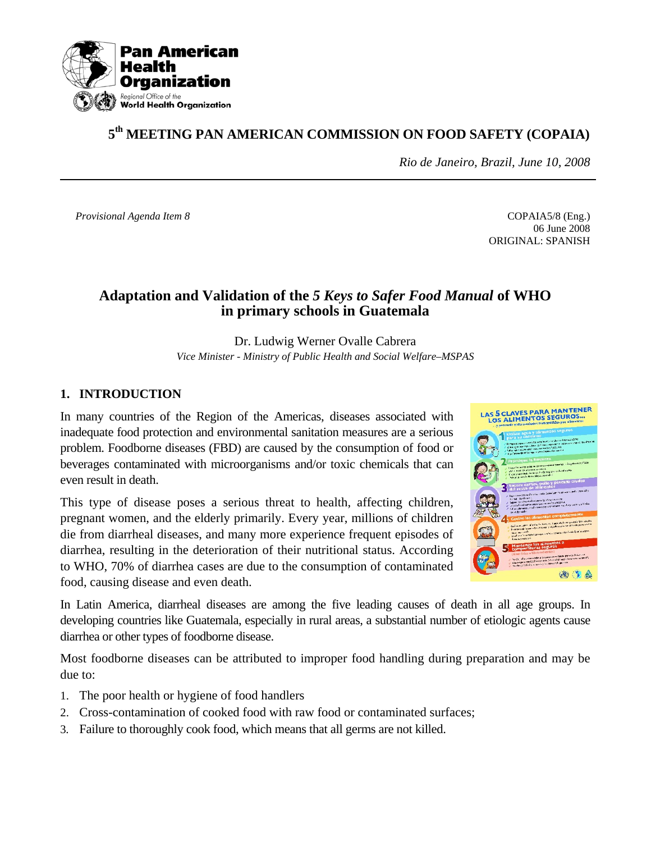

# **5th MEETING PAN AMERICAN COMMISSION ON FOOD SAFETY (COPAIA)**

*Rio de Janeiro, Brazil, June 10, 2008* 

*Provisional Agenda Item 8* COPAIA5/8 (Eng.)

 06 June 2008 ORIGINAL: SPANISH

# **Adaptation and Validation of the** *5 Keys to Safer Food Manual* **of WHO in primary schools in Guatemala**

Dr. Ludwig Werner Ovalle Cabrera *Vice Minister - Ministry of Public Health and Social Welfare–MSPAS* 

## **1. INTRODUCTION**

In many countries of the Region of the Americas, diseases associated with inadequate food protection and environmental sanitation measures are a serious problem. Foodborne diseases (FBD) are caused by the consumption of food or beverages contaminated with microorganisms and/or toxic chemicals that can even result in death.

This type of disease poses a serious threat to health, affecting children, pregnant women, and the elderly primarily. Every year, millions of children die from diarrheal diseases, and many more experience frequent episodes of diarrhea, resulting in the deterioration of their nutritional status. According to WHO, 70% of diarrhea cases are due to the consumption of contaminated food, causing disease and even death.



In Latin America, diarrheal diseases are among the five leading causes of death in all age groups. In developing countries like Guatemala, especially in rural areas, a substantial number of etiologic agents cause diarrhea or other types of foodborne disease.

Most foodborne diseases can be attributed to improper food handling during preparation and may be due to:

- 1. The poor health or hygiene of food handlers
- 2. Cross-contamination of cooked food with raw food or contaminated surfaces;
- 3. Failure to thoroughly cook food, which means that all germs are not killed.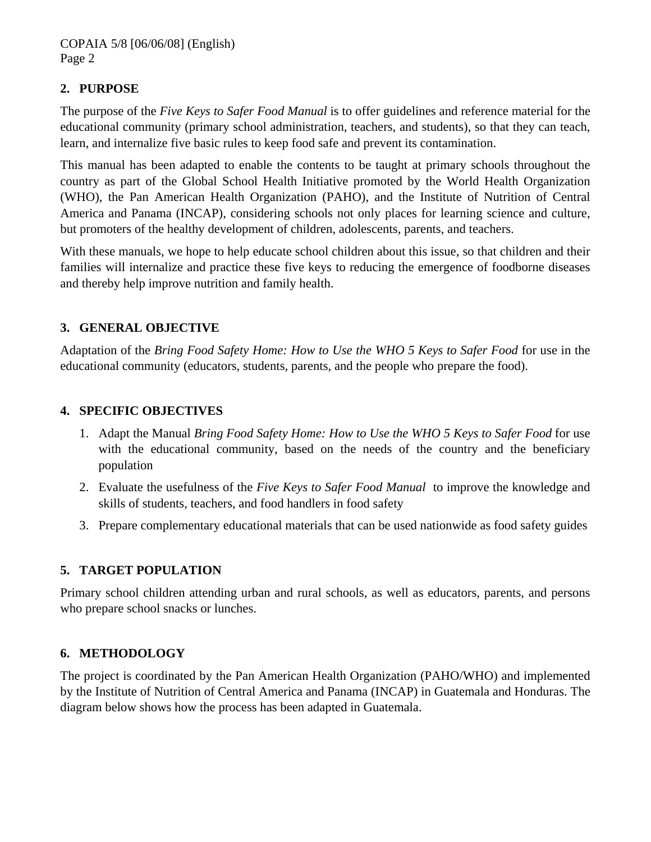## **2. PURPOSE**

The purpose of the *Five Keys to Safer Food Manual* is to offer guidelines and reference material for the educational community (primary school administration, teachers, and students), so that they can teach, learn, and internalize five basic rules to keep food safe and prevent its contamination.

This manual has been adapted to enable the contents to be taught at primary schools throughout the country as part of the Global School Health Initiative promoted by the World Health Organization (WHO), the Pan American Health Organization (PAHO), and the Institute of Nutrition of Central America and Panama (INCAP), considering schools not only places for learning science and culture, but promoters of the healthy development of children, adolescents, parents, and teachers.

With these manuals, we hope to help educate school children about this issue, so that children and their families will internalize and practice these five keys to reducing the emergence of foodborne diseases and thereby help improve nutrition and family health.

## **3. GENERAL OBJECTIVE**

Adaptation of the *Bring Food Safety Home: How to Use the WHO 5 Keys to Safer Food* for use in the educational community (educators, students, parents, and the people who prepare the food).

#### **4. SPECIFIC OBJECTIVES**

- 1. Adapt the Manual *Bring Food Safety Home: How to Use the WHO 5 Keys to Safer Food* for use with the educational community, based on the needs of the country and the beneficiary population
- 2. Evaluate the usefulness of the *Five Keys to Safer Food Manual* to improve the knowledge and skills of students, teachers, and food handlers in food safety
- 3. Prepare complementary educational materials that can be used nationwide as food safety guides

#### **5. TARGET POPULATION**

Primary school children attending urban and rural schools, as well as educators, parents, and persons who prepare school snacks or lunches.

#### **6. METHODOLOGY**

The project is coordinated by the Pan American Health Organization (PAHO/WHO) and implemented by the Institute of Nutrition of Central America and Panama (INCAP) in Guatemala and Honduras. The diagram below shows how the process has been adapted in Guatemala.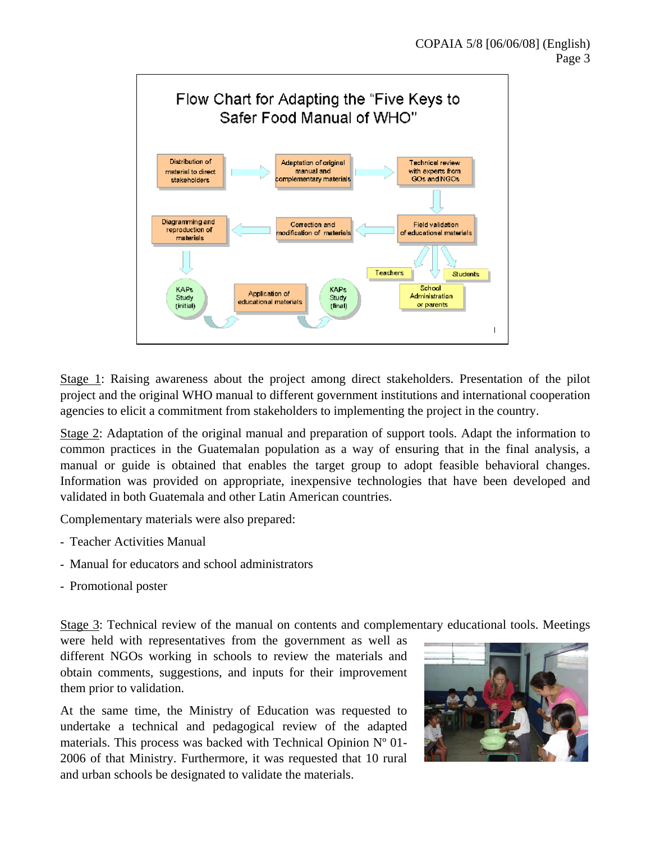

Stage 1: Raising awareness about the project among direct stakeholders. Presentation of the pilot project and the original WHO manual to different government institutions and international cooperation agencies to elicit a commitment from stakeholders to implementing the project in the country.

Stage 2: Adaptation of the original manual and preparation of support tools. Adapt the information to common practices in the Guatemalan population as a way of ensuring that in the final analysis, a manual or guide is obtained that enables the target group to adopt feasible behavioral changes. Information was provided on appropriate, inexpensive technologies that have been developed and validated in both Guatemala and other Latin American countries.

Complementary materials were also prepared:

- **-** Teacher Activities Manual
- **-** Manual for educators and school administrators
- **-** Promotional poster

Stage 3: Technical review of the manual on contents and complementary educational tools. Meetings

were held with representatives from the government as well as different NGOs working in schools to review the materials and obtain comments, suggestions, and inputs for their improvement them prior to validation.

At the same time, the Ministry of Education was requested to undertake a technical and pedagogical review of the adapted materials. This process was backed with Technical Opinion Nº 01- 2006 of that Ministry. Furthermore, it was requested that 10 rural and urban schools be designated to validate the materials.

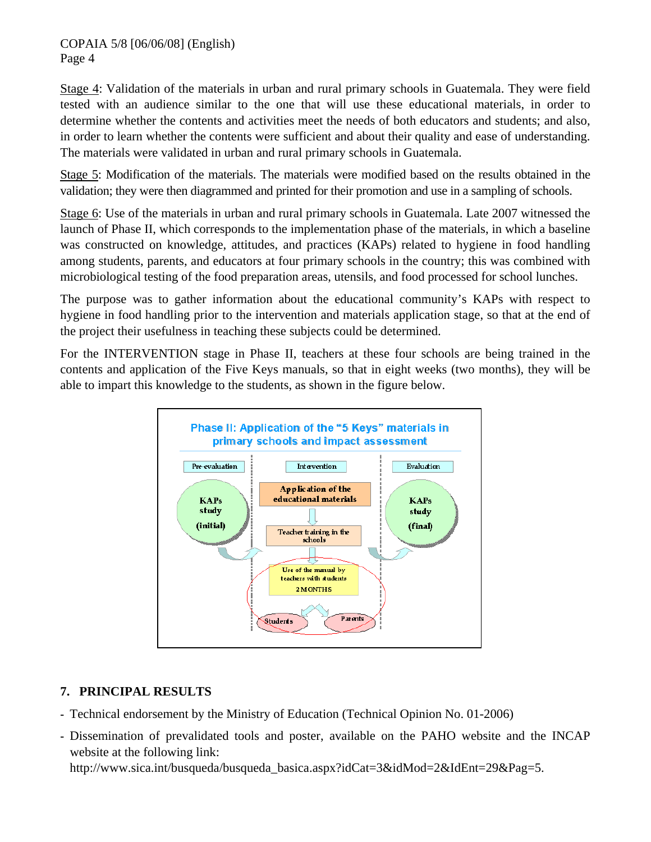Stage 4: Validation of the materials in urban and rural primary schools in Guatemala. They were field tested with an audience similar to the one that will use these educational materials, in order to determine whether the contents and activities meet the needs of both educators and students; and also, in order to learn whether the contents were sufficient and about their quality and ease of understanding. The materials were validated in urban and rural primary schools in Guatemala.

Stage 5: Modification of the materials. The materials were modified based on the results obtained in the validation; they were then diagrammed and printed for their promotion and use in a sampling of schools.

Stage 6: Use of the materials in urban and rural primary schools in Guatemala. Late 2007 witnessed the launch of Phase II, which corresponds to the implementation phase of the materials, in which a baseline was constructed on knowledge, attitudes, and practices (KAPs) related to hygiene in food handling among students, parents, and educators at four primary schools in the country; this was combined with microbiological testing of the food preparation areas, utensils, and food processed for school lunches.

The purpose was to gather information about the educational community's KAPs with respect to hygiene in food handling prior to the intervention and materials application stage, so that at the end of the project their usefulness in teaching these subjects could be determined.

For the INTERVENTION stage in Phase II, teachers at these four schools are being trained in the contents and application of the Five Keys manuals, so that in eight weeks (two months), they will be able to impart this knowledge to the students, as shown in the figure below.



## **7. PRINCIPAL RESULTS**

- **-** Technical endorsement by the Ministry of Education (Technical Opinion No. 01-2006)
- **-** Dissemination of prevalidated tools and poster, available on the PAHO website and the INCAP website at the following link: http://www.sica.int/busqueda/busqueda\_basica.aspx?idCat=3&idMod=2&IdEnt=29&Pag=5.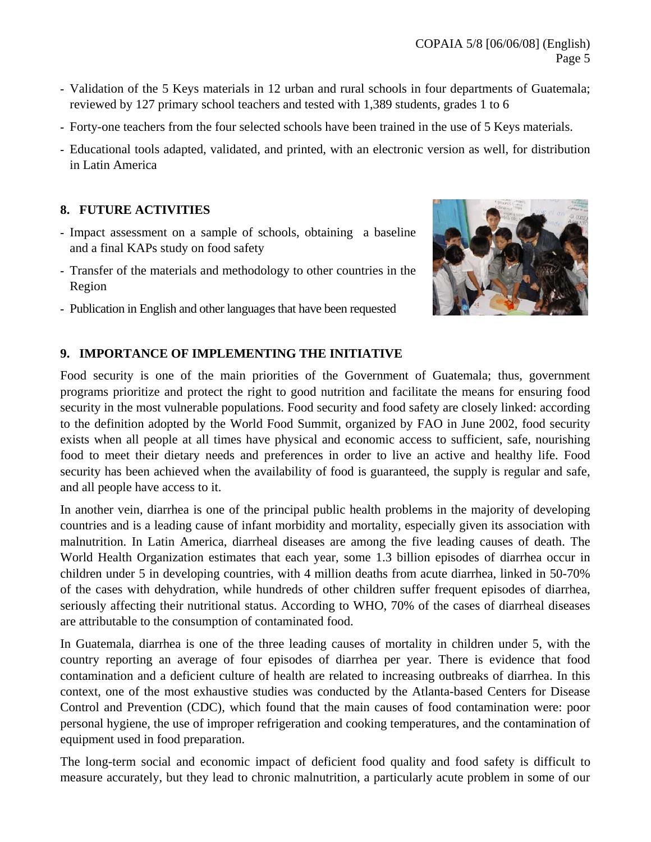- **-** Validation of the 5 Keys materials in 12 urban and rural schools in four departments of Guatemala; reviewed by 127 primary school teachers and tested with 1,389 students, grades 1 to 6
- **-** Forty-one teachers from the four selected schools have been trained in the use of 5 Keys materials.
- **-** Educational tools adapted, validated, and printed, with an electronic version as well, for distribution in Latin America

## **8. FUTURE ACTIVITIES**

- **-** Impact assessment on a sample of schools, obtaining a baseline and a final KAPs study on food safety
- **-** Transfer of the materials and methodology to other countries in the Region
- **-** Publication in English and other languages that have been requested



## **9. IMPORTANCE OF IMPLEMENTING THE INITIATIVE**

Food security is one of the main priorities of the Government of Guatemala; thus, government programs prioritize and protect the right to good nutrition and facilitate the means for ensuring food security in the most vulnerable populations. Food security and food safety are closely linked: according to the definition adopted by the World Food Summit, organized by FAO in June 2002, food security exists when all people at all times have physical and economic access to sufficient, safe, nourishing food to meet their dietary needs and preferences in order to live an active and healthy life. Food security has been achieved when the availability of food is guaranteed, the supply is regular and safe, and all people have access to it.

In another vein, diarrhea is one of the principal public health problems in the majority of developing countries and is a leading cause of infant morbidity and mortality, especially given its association with malnutrition. In Latin America, diarrheal diseases are among the five leading causes of death. The World Health Organization estimates that each year, some 1.3 billion episodes of diarrhea occur in children under 5 in developing countries, with 4 million deaths from acute diarrhea, linked in 50-70% of the cases with dehydration, while hundreds of other children suffer frequent episodes of diarrhea, seriously affecting their nutritional status. According to WHO, 70% of the cases of diarrheal diseases are attributable to the consumption of contaminated food.

In Guatemala, diarrhea is one of the three leading causes of mortality in children under 5, with the country reporting an average of four episodes of diarrhea per year. There is evidence that food contamination and a deficient culture of health are related to increasing outbreaks of diarrhea. In this context, one of the most exhaustive studies was conducted by the Atlanta-based Centers for Disease Control and Prevention (CDC), which found that the main causes of food contamination were: poor personal hygiene, the use of improper refrigeration and cooking temperatures, and the contamination of equipment used in food preparation.

The long-term social and economic impact of deficient food quality and food safety is difficult to measure accurately, but they lead to chronic malnutrition, a particularly acute problem in some of our